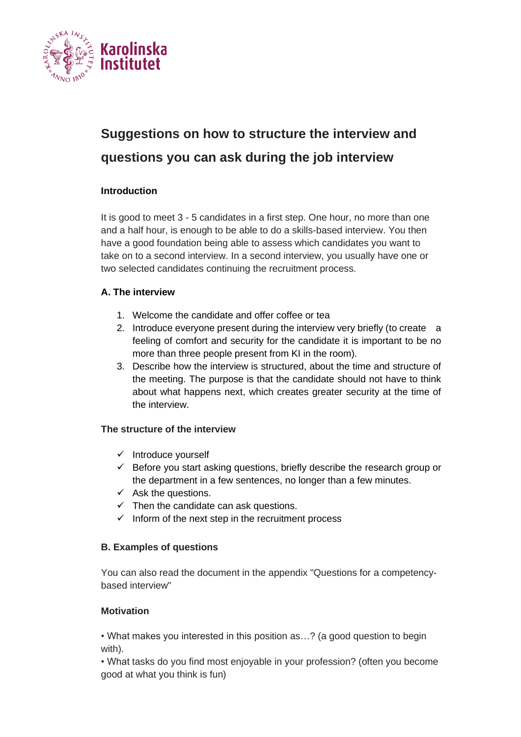

# **Suggestions on how to structure the interview and questions you can ask during the job interview**

## **Introduction**

It is good to meet 3 - 5 candidates in a first step. One hour, no more than one and a half hour, is enough to be able to do a skills-based interview. You then have a good foundation being able to assess which candidates you want to take on to a second interview. In a second interview, you usually have one or two selected candidates continuing the recruitment process.

## **A. The interview**

- 1. Welcome the candidate and offer coffee or tea
- 2. Introduce everyone present during the interview very briefly (to create a feeling of comfort and security for the candidate it is important to be no more than three people present from KI in the room).
- 3. Describe how the interview is structured, about the time and structure of the meeting. The purpose is that the candidate should not have to think about what happens next, which creates greater security at the time of the interview.

## **The structure of the interview**

- ✓ Introduce yourself
- $\checkmark$  Before you start asking questions, briefly describe the research group or the department in a few sentences, no longer than a few minutes.
- $\checkmark$  Ask the questions.
- $\checkmark$  Then the candidate can ask questions.
- $\checkmark$  Inform of the next step in the recruitment process

## **B. Examples of questions**

You can also read the document in the appendix "Questions for a competencybased interview"

## **Motivation**

• What makes you interested in this position as…? (a good question to begin with).

• What tasks do you find most enjoyable in your profession? (often you become good at what you think is fun)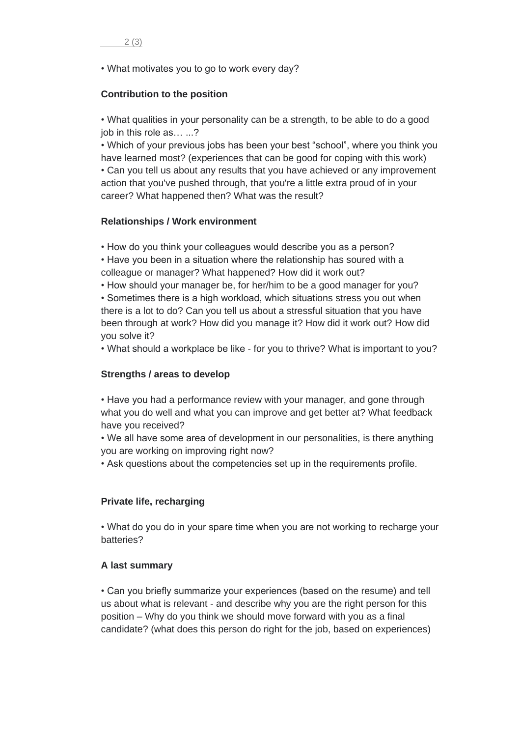• What motivates you to go to work every day?

#### **Contribution to the position**

• What qualities in your personality can be a strength, to be able to do a good job in this role as… ...?

• Which of your previous jobs has been your best "school", where you think you have learned most? (experiences that can be good for coping with this work) • Can you tell us about any results that you have achieved or any improvement action that you've pushed through, that you're a little extra proud of in your career? What happened then? What was the result?

#### **Relationships / Work environment**

• How do you think your colleagues would describe you as a person?

• Have you been in a situation where the relationship has soured with a colleague or manager? What happened? How did it work out?

• How should your manager be, for her/him to be a good manager for you?

• Sometimes there is a high workload, which situations stress you out when there is a lot to do? Can you tell us about a stressful situation that you have been through at work? How did you manage it? How did it work out? How did you solve it?

• What should a workplace be like - for you to thrive? What is important to you?

#### **Strengths / areas to develop**

• Have you had a performance review with your manager, and gone through what you do well and what you can improve and get better at? What feedback have you received?

• We all have some area of development in our personalities, is there anything you are working on improving right now?

• Ask questions about the competencies set up in the requirements profile.

## **Private life, recharging**

• What do you do in your spare time when you are not working to recharge your batteries?

#### **A last summary**

• Can you briefly summarize your experiences (based on the resume) and tell us about what is relevant - and describe why you are the right person for this position – Why do you think we should move forward with you as a final candidate? (what does this person do right for the job, based on experiences)